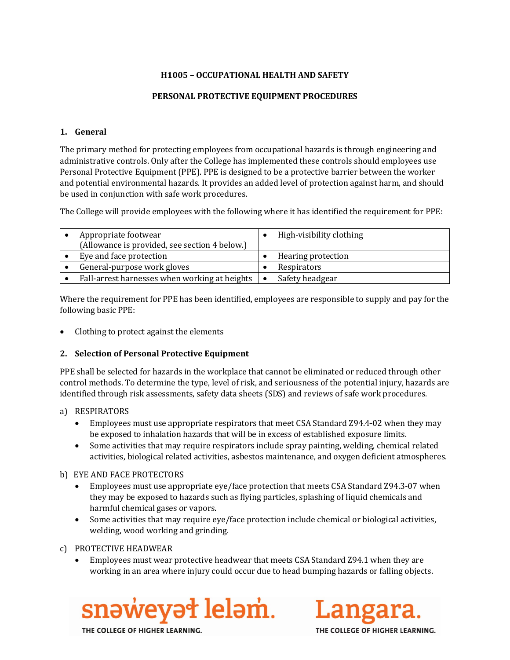## **H1005 – OCCUPATIONAL HEALTH AND SAFETY**

## **PERSONAL PROTECTIVE EQUIPMENT PROCEDURES**

#### **1. General**

The primary method for protecting employees from occupational hazards is through engineering and administrative controls. Only after the College has implemented these controls should employees use Personal Protective Equipment (PPE). PPE is designed to be a protective barrier between the worker and potential environmental hazards. It provides an added level of protection against harm, and should be used in conjunction with safe work procedures.

The College will provide employees with the following where it has identified the requirement for PPE:

| Appropriate footwear<br>(Allowance is provided, see section 4 below.) | High-visibility clothing |
|-----------------------------------------------------------------------|--------------------------|
| Eye and face protection                                               | Hearing protection       |
| General-purpose work gloves                                           | Respirators              |
| Fall-arrest harnesses when working at heights                         | Safety headgear          |

Where the requirement for PPE has been identified, employees are responsible to supply and pay for the following basic PPE:

• Clothing to protect against the elements

#### **2. Selection of Personal Protective Equipment**

PPE shall be selected for hazards in the workplace that cannot be eliminated or reduced through other control methods. To determine the type, level of risk, and seriousness of the potential injury, hazards are identified through risk assessments, safety data sheets (SDS) and reviews of safe work procedures.

#### a) RESPIRATORS

- Employees must use appropriate respirators that meet CSA Standard Z94.4-02 when they may be exposed to inhalation hazards that will be in excess of established exposure limits.
- Some activities that may require respirators include spray painting, welding, chemical related activities, biological related activities, asbestos maintenance, and oxygen deficient atmospheres.

#### b) EYE AND FACE PROTECTORS

- Employees must use appropriate eye/face protection that meets CSA Standard Z94.3-07 when they may be exposed to hazards such as flying particles, splashing of liquid chemicals and harmful chemical gases or vapors.
- Some activities that may require eye/face protection include chemical or biological activities, welding, wood working and grinding.

c) PROTECTIVE HEADWEAR

• Employees must wear protective headwear that meets CSA Standard Z94.1 when they are working in an area where injury could occur due to head bumping hazards or falling objects.





THE COLLEGE OF HIGHER LEARNING.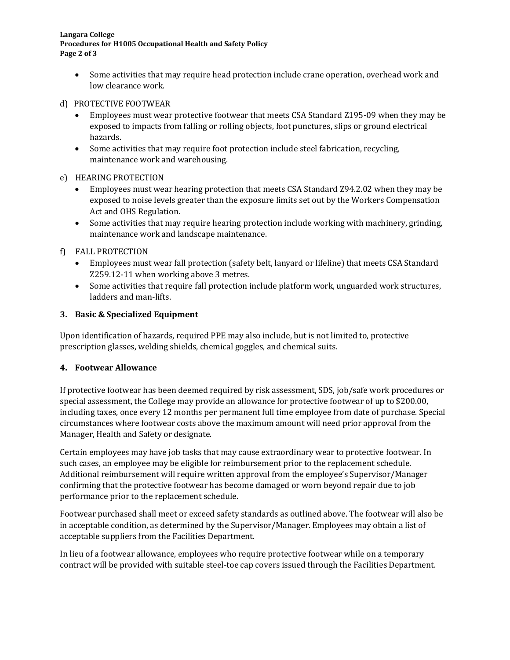**Langara College Procedures for H1005 Occupational Health and Safety Policy Page 2 of 3**

• Some activities that may require head protection include crane operation, overhead work and low clearance work.

## d) PROTECTIVE FOOTWEAR

- Employees must wear protective footwear that meets CSA Standard Z195-09 when they may be exposed to impacts from falling or rolling objects, foot punctures, slips or ground electrical hazards.
- Some activities that may require foot protection include steel fabrication, recycling, maintenance work and warehousing.

## e) HEARING PROTECTION

- Employees must wear hearing protection that meets CSA Standard Z94.2.02 when they may be exposed to noise levels greater than the exposure limits set out by the Workers Compensation Act and OHS Regulation.
- Some activities that may require hearing protection include working with machinery, grinding, maintenance work and landscape maintenance.

# f) FALL PROTECTION

- Employees must wear fall protection (safety belt, lanyard or lifeline) that meets CSA Standard Z259.12-11 when working above 3 metres.
- Some activities that require fall protection include platform work, unguarded work structures, ladders and man-lifts.

## **3. Basic & Specialized Equipment**

Upon identification of hazards, required PPE may also include, but is not limited to, protective prescription glasses, welding shields, chemical goggles, and chemical suits.

#### **4. Footwear Allowance**

If protective footwear has been deemed required by risk assessment, SDS, job/safe work procedures or special assessment, the College may provide an allowance for protective footwear of up to \$200.00, including taxes, once every 12 months per permanent full time employee from date of purchase. Special circumstances where footwear costs above the maximum amount will need prior approval from the Manager, Health and Safety or designate.

Certain employees may have job tasks that may cause extraordinary wear to protective footwear. In such cases, an employee may be eligible for reimbursement prior to the replacement schedule. Additional reimbursement will require written approval from the employee's Supervisor/Manager confirming that the protective footwear has become damaged or worn beyond repair due to job performance prior to the replacement schedule.

Footwear purchased shall meet or exceed safety standards as outlined above. The footwear will also be in acceptable condition, as determined by the Supervisor/Manager. Employees may obtain a list of acceptable suppliers from the Facilities Department.

In lieu of a footwear allowance, employees who require protective footwear while on a temporary contract will be provided with suitable steel-toe cap covers issued through the Facilities Department.